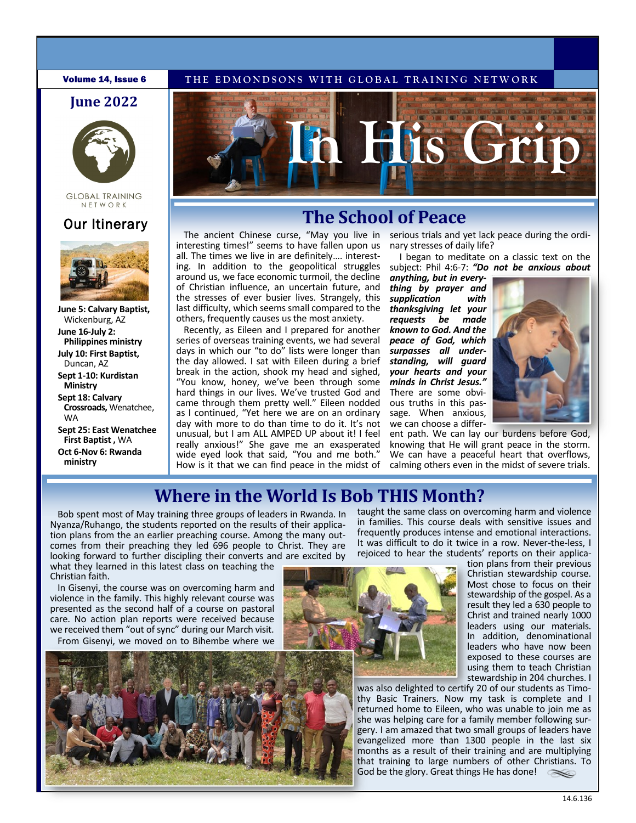### **June 2022**



#### **GLOBAL TRAINING** NFTWORK



**June 5: Calvary Baptist,**  Wickenburg, AZ **June 16-July 2: Philippines ministry July 10: First Baptist,**  Duncan, AZ **Sept 1-10: Kurdistan Ministry** 

**Sept 18: Calvary Crossroads,** Wenatchee, WA

**Sept 25: East Wenatchee First Baptist ,** WA **Oct 6-Nov 6: Rwanda ministry**



# **Our Itinerary. The School of Peace**

The ancient Chinese curse, "May you live in interesting times!" seems to have fallen upon us all. The times we live in are definitely…. interesting. In addition to the geopolitical struggles around us, we face economic turmoil, the decline of Christian influence, an uncertain future, and the stresses of ever busier lives. Strangely, this last difficulty, which seems small compared to the others, frequently causes us the most anxiety.

Recently, as Eileen and I prepared for another series of overseas training events, we had several days in which our "to do" lists were longer than the day allowed. I sat with Eileen during a brief break in the action, shook my head and sighed, "You know, honey, we've been through some hard things in our lives. We've trusted God and came through them pretty well." Eileen nodded as I continued, "Yet here we are on an ordinary day with more to do than time to do it. It's not unusual, but I am ALL AMPED UP about it! I feel really anxious!" She gave me an exasperated wide eyed look that said, "You and me both." How is it that we can find peace in the midst of

serious trials and yet lack peace during the ordinary stresses of daily life?

I began to meditate on a classic text on the subject: Phil 4:6-7: *"Do not be anxious about* 

*anything, but in everything by prayer and supplication with thanksgiving let your requests be known to God. And the peace of God, which surpasses all understanding, will guard your hearts and your minds in Christ Jesus."*  There are some obvious truths in this passage. When anxious, we can choose a differ-



ent path. We can lay our burdens before God, knowing that He will grant peace in the storm. We can have a peaceful heart that overflows, calming others even in the midst of severe trials.

# **Where in the World Is Bob THIS Month?**

Bob spent most of May training three groups of leaders in Rwanda. In Nyanza/Ruhango, the students reported on the results of their application plans from the an earlier preaching course. Among the many outcomes from their preaching they led 696 people to Christ. They are looking forward to further discipling their converts and are excited by

what they learned in this latest class on teaching the Christian faith.

In Gisenyi, the course was on overcoming harm and violence in the family. This highly relevant course was presented as the second half of a course on pastoral care. No action plan reports were received because we received them "out of sync" during our March visit. From Gisenyi, we moved on to Bihembe where we

taught the same class on overcoming harm and violence in families. This course deals with sensitive issues and frequently produces intense and emotional interactions. It was difficult to do it twice in a row. Never-the-less, I rejoiced to hear the students' reports on their applica-



tion plans from their previous Christian stewardship course. Most chose to focus on their stewardship of the gospel. As a result they led a 630 people to Christ and trained nearly 1000 leaders using our materials. In addition, denominational leaders who have now been exposed to these courses are using them to teach Christian stewardship in 204 churches. I

was also delighted to certify 20 of our students as Timothy Basic Trainers. Now my task is complete and I returned home to Eileen, who was unable to join me as she was helping care for a family member following surgery. I am amazed that two small groups of leaders have evangelized more than 1300 people in the last six months as a result of their training and are multiplying that training to large numbers of other Christians. To God be the glory. Great things He has done!  $\ll$